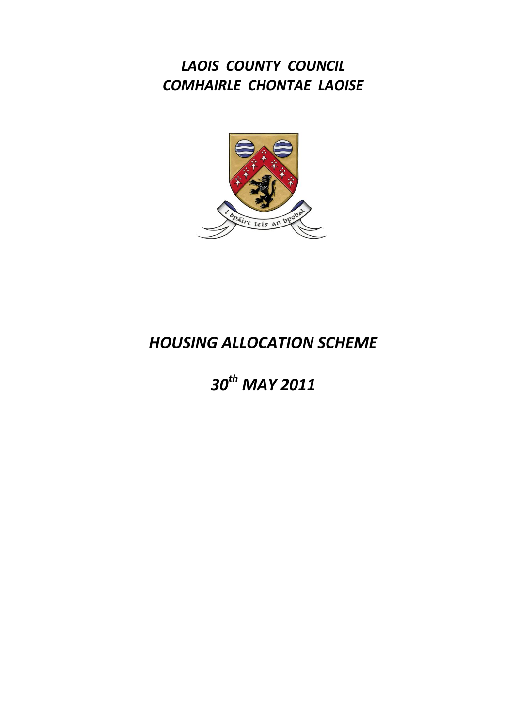*LAOIS COUNTY COUNCIL COMHAIRLE CHONTAE LAOISE*



# *HOUSING ALLOCATION SCHEME*

# *30th MAY 2011*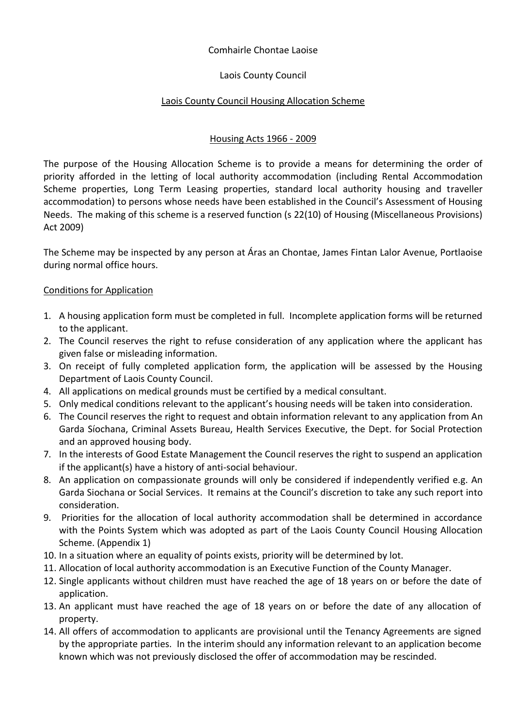# Comhairle Chontae Laoise

# Laois County Council

# Laois County Council Housing Allocation Scheme

# Housing Acts 1966 - 2009

The purpose of the Housing Allocation Scheme is to provide a means for determining the order of priority afforded in the letting of local authority accommodation (including Rental Accommodation Scheme properties, Long Term Leasing properties, standard local authority housing and traveller accommodation) to persons whose needs have been established in the Council's Assessment of Housing Needs. The making of this scheme is a reserved function (s 22(10) of Housing (Miscellaneous Provisions) Act 2009)

The Scheme may be inspected by any person at Áras an Chontae, James Fintan Lalor Avenue, Portlaoise during normal office hours.

### Conditions for Application

- 1. A housing application form must be completed in full. Incomplete application forms will be returned to the applicant.
- 2. The Council reserves the right to refuse consideration of any application where the applicant has given false or misleading information.
- 3. On receipt of fully completed application form, the application will be assessed by the Housing Department of Laois County Council.
- 4. All applications on medical grounds must be certified by a medical consultant.
- 5. Only medical conditions relevant to the applicant's housing needs will be taken into consideration.
- 6. The Council reserves the right to request and obtain information relevant to any application from An Garda Síochana, Criminal Assets Bureau, Health Services Executive, the Dept. for Social Protection and an approved housing body.
- 7. In the interests of Good Estate Management the Council reserves the right to suspend an application if the applicant(s) have a history of anti-social behaviour.
- 8. An application on compassionate grounds will only be considered if independently verified e.g. An Garda Siochana or Social Services. It remains at the Council's discretion to take any such report into consideration.
- 9. Priorities for the allocation of local authority accommodation shall be determined in accordance with the Points System which was adopted as part of the Laois County Council Housing Allocation Scheme. (Appendix 1)
- 10. In a situation where an equality of points exists, priority will be determined by lot.
- 11. Allocation of local authority accommodation is an Executive Function of the County Manager.
- 12. Single applicants without children must have reached the age of 18 years on or before the date of application.
- 13. An applicant must have reached the age of 18 years on or before the date of any allocation of property.
- 14. All offers of accommodation to applicants are provisional until the Tenancy Agreements are signed by the appropriate parties. In the interim should any information relevant to an application become known which was not previously disclosed the offer of accommodation may be rescinded.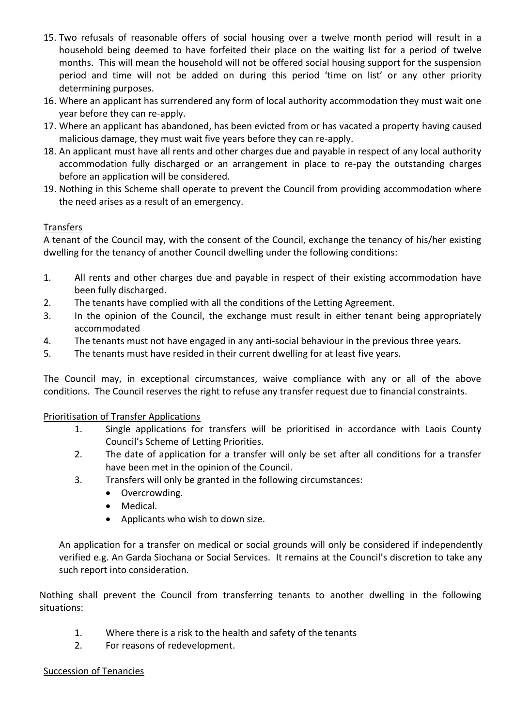- 15. Two refusals of reasonable offers of social housing over a twelve month period will result in a household being deemed to have forfeited their place on the waiting list for a period of twelve months. This will mean the household will not be offered social housing support for the suspension period and time will not be added on during this period 'time on list' or any other priority determining purposes.
- 16. Where an applicant has surrendered any form of local authority accommodation they must wait one year before they can re-apply.
- 17. Where an applicant has abandoned, has been evicted from or has vacated a property having caused malicious damage, they must wait five years before they can re-apply.
- 18. An applicant must have all rents and other charges due and payable in respect of any local authority accommodation fully discharged or an arrangement in place to re-pay the outstanding charges before an application will be considered.
- 19. Nothing in this Scheme shall operate to prevent the Council from providing accommodation where the need arises as a result of an emergency.

### **Transfers**

A tenant of the Council may, with the consent of the Council, exchange the tenancy of his/her existing dwelling for the tenancy of another Council dwelling under the following conditions:

- 1. All rents and other charges due and payable in respect of their existing accommodation have been fully discharged.
- 2. The tenants have complied with all the conditions of the Letting Agreement.
- 3. In the opinion of the Council, the exchange must result in either tenant being appropriately accommodated
- 4. The tenants must not have engaged in any anti-social behaviour in the previous three years.
- 5. The tenants must have resided in their current dwelling for at least five years.

The Council may, in exceptional circumstances, waive compliance with any or all of the above conditions. The Council reserves the right to refuse any transfer request due to financial constraints.

### Prioritisation of Transfer Applications

- 1. Single applications for transfers will be prioritised in accordance with Laois County Council's Scheme of Letting Priorities.
- 2. The date of application for a transfer will only be set after all conditions for a transfer have been met in the opinion of the Council.
- 3. Transfers will only be granted in the following circumstances:
	- Overcrowding.
	- Medical.
	- Applicants who wish to down size.

An application for a transfer on medical or social grounds will only be considered if independently verified e.g. An Garda Siochana or Social Services. It remains at the Council's discretion to take any such report into consideration.

Nothing shall prevent the Council from transferring tenants to another dwelling in the following situations:

- 1. Where there is a risk to the health and safety of the tenants
- 2. For reasons of redevelopment.

#### Succession of Tenancies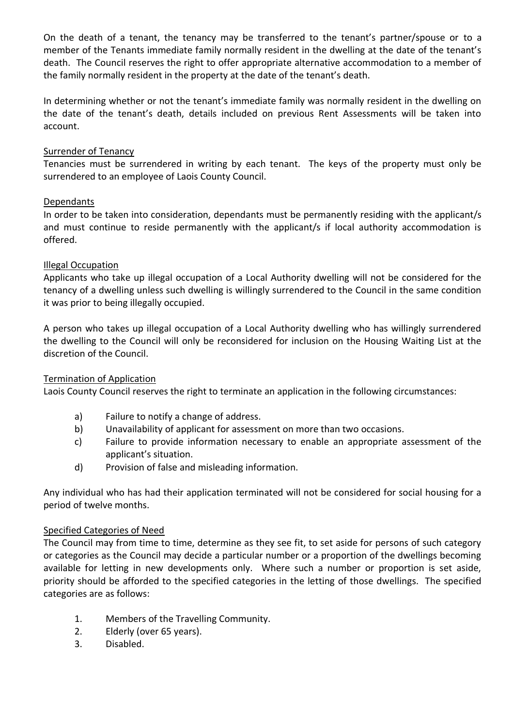On the death of a tenant, the tenancy may be transferred to the tenant's partner/spouse or to a member of the Tenants immediate family normally resident in the dwelling at the date of the tenant's death. The Council reserves the right to offer appropriate alternative accommodation to a member of the family normally resident in the property at the date of the tenant's death.

In determining whether or not the tenant's immediate family was normally resident in the dwelling on the date of the tenant's death, details included on previous Rent Assessments will be taken into account.

#### Surrender of Tenancy

Tenancies must be surrendered in writing by each tenant. The keys of the property must only be surrendered to an employee of Laois County Council.

### Dependants

In order to be taken into consideration, dependants must be permanently residing with the applicant/s and must continue to reside permanently with the applicant/s if local authority accommodation is offered.

#### Illegal Occupation

Applicants who take up illegal occupation of a Local Authority dwelling will not be considered for the tenancy of a dwelling unless such dwelling is willingly surrendered to the Council in the same condition it was prior to being illegally occupied.

A person who takes up illegal occupation of a Local Authority dwelling who has willingly surrendered the dwelling to the Council will only be reconsidered for inclusion on the Housing Waiting List at the discretion of the Council.

#### Termination of Application

Laois County Council reserves the right to terminate an application in the following circumstances:

- a) Failure to notify a change of address.
- b) Unavailability of applicant for assessment on more than two occasions.
- c) Failure to provide information necessary to enable an appropriate assessment of the applicant's situation.
- d) Provision of false and misleading information.

Any individual who has had their application terminated will not be considered for social housing for a period of twelve months.

#### Specified Categories of Need

The Council may from time to time, determine as they see fit, to set aside for persons of such category or categories as the Council may decide a particular number or a proportion of the dwellings becoming available for letting in new developments only. Where such a number or proportion is set aside, priority should be afforded to the specified categories in the letting of those dwellings. The specified categories are as follows:

- 1. Members of the Travelling Community.
- 2. Elderly (over 65 years).
- 3. Disabled.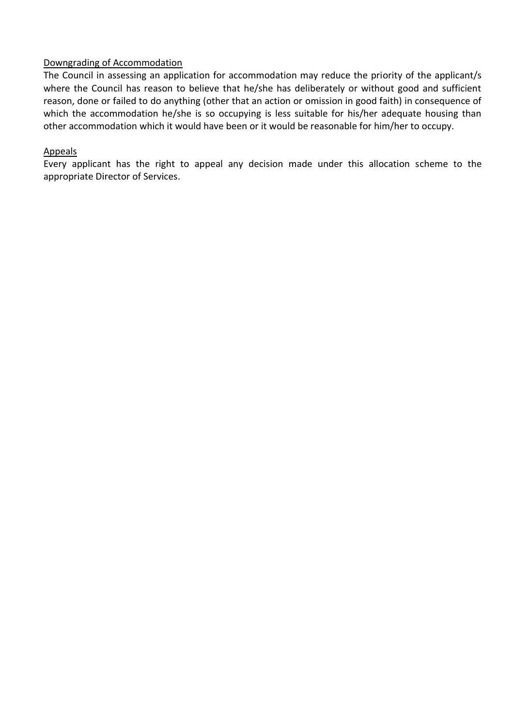### Downgrading of Accommodation

The Council in assessing an application for accommodation may reduce the priority of the applicant/s where the Council has reason to believe that he/she has deliberately or without good and sufficient reason, done or failed to do anything (other that an action or omission in good faith) in consequence of which the accommodation he/she is so occupying is less suitable for his/her adequate housing than other accommodation which it would have been or it would be reasonable for him/her to occupy.

#### Appeals

Every applicant has the right to appeal any decision made under this allocation scheme to the appropriate Director of Services.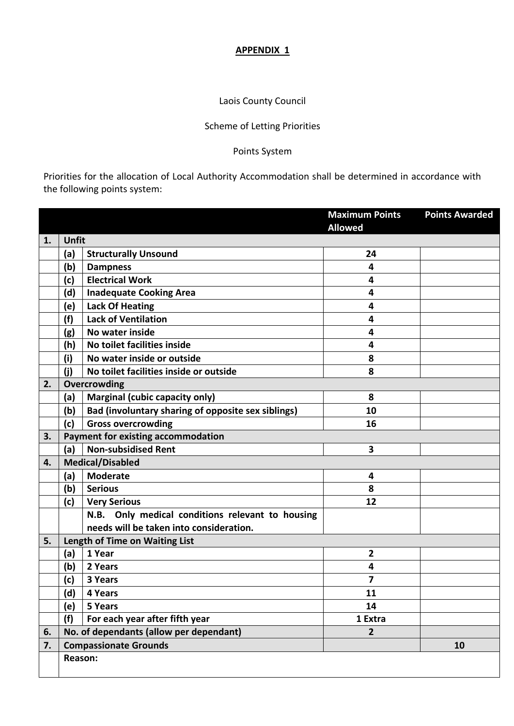#### **APPENDIX 1**

# Laois County Council

# Scheme of Letting Priorities

# Points System

Priorities for the allocation of Local Authority Accommodation shall be determined in accordance with the following points system:

|    |                                |                                                           | <b>Maximum Points</b>   | <b>Points Awarded</b> |  |
|----|--------------------------------|-----------------------------------------------------------|-------------------------|-----------------------|--|
|    |                                |                                                           | <b>Allowed</b>          |                       |  |
| 1. | Unfit                          |                                                           |                         |                       |  |
|    | (a)                            | <b>Structurally Unsound</b>                               | 24                      |                       |  |
|    | (b)                            | <b>Dampness</b>                                           | 4                       |                       |  |
|    | (c)                            | <b>Electrical Work</b>                                    | 4                       |                       |  |
|    | (d)                            | <b>Inadequate Cooking Area</b>                            | 4                       |                       |  |
|    | (e)                            | <b>Lack Of Heating</b>                                    | 4                       |                       |  |
|    | (f)                            | <b>Lack of Ventilation</b>                                | 4                       |                       |  |
|    | (g)                            | No water inside                                           | 4                       |                       |  |
|    | (h)                            | No toilet facilities inside                               | 4                       |                       |  |
|    | (i)                            | No water inside or outside                                | 8                       |                       |  |
|    | (i)                            | No toilet facilities inside or outside                    | 8                       |                       |  |
| 2. | Overcrowding                   |                                                           |                         |                       |  |
|    | (a)                            | <b>Marginal (cubic capacity only)</b>                     | 8                       |                       |  |
|    | (b)                            | Bad (involuntary sharing of opposite sex siblings)        | 10                      |                       |  |
|    | (c)                            | <b>Gross overcrowding</b>                                 | 16                      |                       |  |
| 3. |                                | Payment for existing accommodation                        |                         |                       |  |
|    | (a)                            | <b>Non-subsidised Rent</b>                                | $\overline{\mathbf{3}}$ |                       |  |
| 4. | <b>Medical/Disabled</b>        |                                                           |                         |                       |  |
|    | (a)                            | <b>Moderate</b>                                           | 4                       |                       |  |
|    | (b)                            | <b>Serious</b>                                            | 8                       |                       |  |
|    | (c)                            | <b>Very Serious</b>                                       | 12                      |                       |  |
|    |                                | N.B. Only medical conditions relevant to housing          |                         |                       |  |
|    |                                | needs will be taken into consideration.                   |                         |                       |  |
| 5. | Length of Time on Waiting List |                                                           |                         |                       |  |
|    | (a)                            | 1 Year                                                    | $\overline{2}$          |                       |  |
|    | (b)                            | 2 Years                                                   | 4                       |                       |  |
|    | (c)                            | 3 Years                                                   | 7                       |                       |  |
|    | (d)                            | 4 Years                                                   | 11                      |                       |  |
|    | (e)                            | 5 Years                                                   | 14                      |                       |  |
|    | (f)                            | For each year after fifth year                            | 1 Extra                 |                       |  |
| 6. |                                | No. of dependants (allow per dependant)<br>$\overline{2}$ |                         |                       |  |
| 7. |                                | <b>Compassionate Grounds</b>                              |                         | 10                    |  |
|    | Reason:                        |                                                           |                         |                       |  |